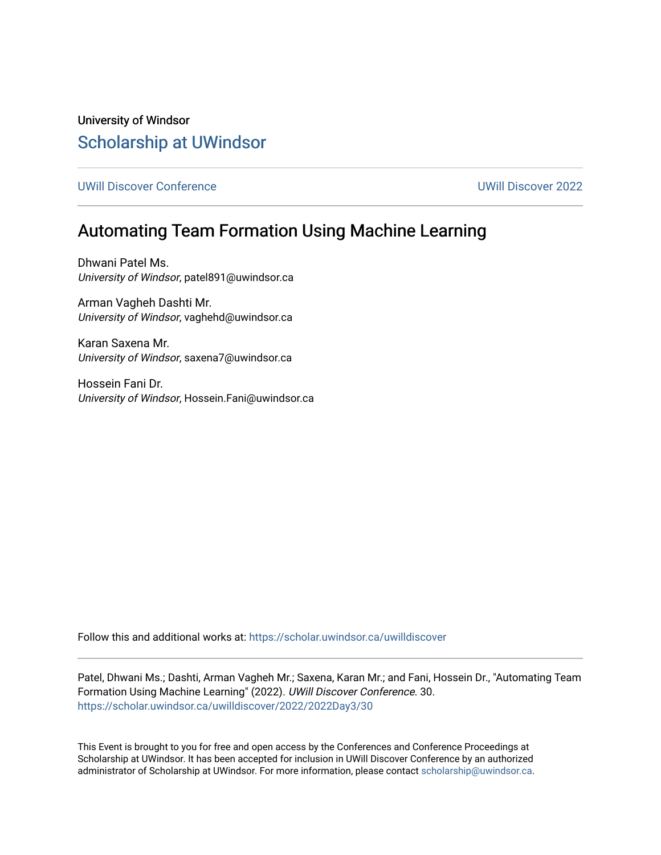University of Windsor [Scholarship at UWindsor](https://scholar.uwindsor.ca/) 

[UWill Discover Conference](https://scholar.uwindsor.ca/uwilldiscover) [UWill Discover 2022](https://scholar.uwindsor.ca/uwilldiscover/2022) 

## Automating Team Formation Using Machine Learning

Dhwani Patel Ms. University of Windsor, patel891@uwindsor.ca

Arman Vagheh Dashti Mr. University of Windsor, vaghehd@uwindsor.ca

Karan Saxena Mr. University of Windsor, saxena7@uwindsor.ca

Hossein Fani Dr. University of Windsor, Hossein.Fani@uwindsor.ca

Follow this and additional works at: [https://scholar.uwindsor.ca/uwilldiscover](https://scholar.uwindsor.ca/uwilldiscover?utm_source=scholar.uwindsor.ca%2Fuwilldiscover%2F2022%2F2022Day3%2F30&utm_medium=PDF&utm_campaign=PDFCoverPages) 

Patel, Dhwani Ms.; Dashti, Arman Vagheh Mr.; Saxena, Karan Mr.; and Fani, Hossein Dr., "Automating Team Formation Using Machine Learning" (2022). UWill Discover Conference. 30. [https://scholar.uwindsor.ca/uwilldiscover/2022/2022Day3/30](https://scholar.uwindsor.ca/uwilldiscover/2022/2022Day3/30?utm_source=scholar.uwindsor.ca%2Fuwilldiscover%2F2022%2F2022Day3%2F30&utm_medium=PDF&utm_campaign=PDFCoverPages) 

This Event is brought to you for free and open access by the Conferences and Conference Proceedings at Scholarship at UWindsor. It has been accepted for inclusion in UWill Discover Conference by an authorized administrator of Scholarship at UWindsor. For more information, please contact [scholarship@uwindsor.ca](mailto:scholarship@uwindsor.ca).